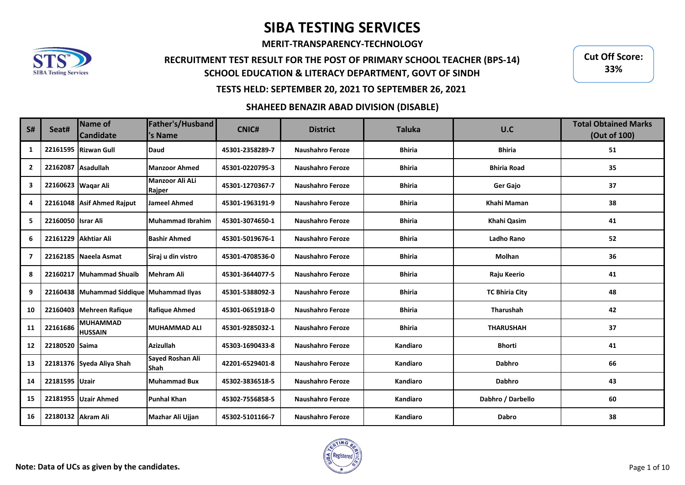**MERIT-TRANSPARENCY-TECHNOLOGY**

## **RECRUITMENT TEST RESULT FOR THE POST OF PRIMARY SCHOOL TEACHER (BPS-14) SCHOOL EDUCATION & LITERACY DEPARTMENT, GOVT OF SINDH**

**Cut Off Score: 33%**

### **TESTS HELD: SEPTEMBER 20, 2021 TO SEPTEMBER 26, 2021**

### **SHAHEED BENAZIR ABAD DIVISION (DISABLE)**

| <b>S#</b>      | Seat#              | <b>Name of</b><br><b>Candidate</b> | Father's/Husband<br>'s Name      | <b>CNIC#</b>    | <b>District</b>         | <b>Taluka</b> | U.C                   | <b>Total Obtained Marks</b><br>(Out of 100) |
|----------------|--------------------|------------------------------------|----------------------------------|-----------------|-------------------------|---------------|-----------------------|---------------------------------------------|
| 1              |                    | 22161595 Rizwan Gull               | Daud                             | 45301-2358289-7 | <b>Naushahro Feroze</b> | <b>Bhiria</b> | <b>Bhiria</b>         | 51                                          |
| $\overline{2}$ | 22162087 Asadullah |                                    | <b>Manzoor Ahmed</b>             | 45301-0220795-3 | <b>Naushahro Feroze</b> | <b>Bhiria</b> | <b>Bhiria Road</b>    | 35                                          |
| 3              |                    | 22160623 Wagar Ali                 | <b>Manzoor Ali ALi</b><br>Rajper | 45301-1270367-7 | <b>Naushahro Feroze</b> | <b>Bhiria</b> | <b>Ger Gajo</b>       | 37                                          |
| 4              |                    | 22161048 Asif Ahmed Raiput         | <b>Jameel Ahmed</b>              | 45301-1963191-9 | <b>Naushahro Feroze</b> | <b>Bhiria</b> | Khahi Maman           | 38                                          |
| 5              | 22160050 Israr Ali |                                    | <b>Muhammad Ibrahim</b>          | 45301-3074650-1 | <b>Naushahro Feroze</b> | <b>Bhiria</b> | Khahi Qasim           | 41                                          |
| 6              |                    | 22161229 Akhtiar Ali               | <b>Bashir Ahmed</b>              | 45301-5019676-1 | <b>Naushahro Feroze</b> | <b>Bhiria</b> | <b>Ladho Rano</b>     | 52                                          |
| $\overline{7}$ |                    | 22162185 Naeela Asmat              | Siraj u din vistro               | 45301-4708536-0 | <b>Naushahro Feroze</b> | <b>Bhiria</b> | <b>Molhan</b>         | 36                                          |
| 8              |                    | 22160217 Muhammad Shuaib           | Mehram Ali                       | 45301-3644077-5 | <b>Naushahro Feroze</b> | <b>Bhiria</b> | Raju Keerio           | 41                                          |
| 9              |                    | 22160438 Muhammad Siddique         | <b>Muhammad Ilyas</b>            | 45301-5388092-3 | <b>Naushahro Feroze</b> | <b>Bhiria</b> | <b>TC Bhiria City</b> | 48                                          |
| 10             |                    | 22160403 Mehreen Rafique           | <b>Rafique Ahmed</b>             | 45301-0651918-0 | <b>Naushahro Feroze</b> | <b>Bhiria</b> | Tharushah             | 42                                          |
| 11             | 22161686           | <b>MUHAMMAD</b><br><b>HUSSAIN</b>  | <b>MUHAMMAD ALI</b>              | 45301-9285032-1 | <b>Naushahro Feroze</b> | <b>Bhiria</b> | <b>THARUSHAH</b>      | 37                                          |
| 12             | 22180520 Saima     |                                    | <b>Azizullah</b>                 | 45303-1690433-8 | Naushahro Feroze        | Kandiaro      | <b>Bhorti</b>         | 41                                          |
| 13             |                    | 22181376 Syeda Aliya Shah          | Sayed Roshan Ali<br><b>Shah</b>  | 42201-6529401-8 | <b>Naushahro Feroze</b> | Kandiaro      | <b>Dabhro</b>         | 66                                          |
| 14             | 22181595 Uzair     |                                    | <b>Muhammad Bux</b>              | 45302-3836518-5 | <b>Naushahro Feroze</b> | Kandiaro      | <b>Dabhro</b>         | 43                                          |
| 15             |                    | 22181955   Uzair Ahmed             | <b>Punhal Khan</b>               | 45302-7556858-5 | <b>Naushahro Feroze</b> | Kandiaro      | Dabhro / Darbello     | 60                                          |
| 16             | 22180132 Akram Ali |                                    | Mazhar Ali Ujjan                 | 45302-5101166-7 | <b>Naushahro Feroze</b> | Kandiaro      | Dabro                 | 38                                          |

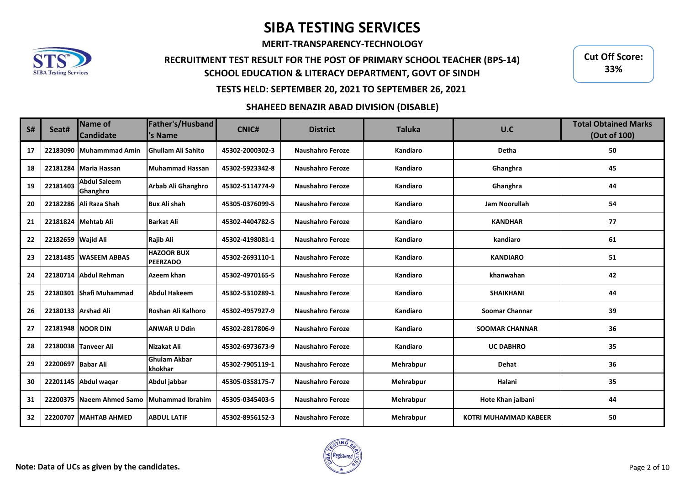**MERIT-TRANSPARENCY-TECHNOLOGY**

# **RECRUITMENT TEST RESULT FOR THE POST OF PRIMARY SCHOOL TEACHER (BPS-14) SCHOOL EDUCATION & LITERACY DEPARTMENT, GOVT OF SINDH**

**Cut Off Score: 33%**

## **TESTS HELD: SEPTEMBER 20, 2021 TO SEPTEMBER 26, 2021**

### **SHAHEED BENAZIR ABAD DIVISION (DISABLE)**

| <b>S#</b> | Seat#              | Name of<br><b>Candidate</b>     | Father's/Husband<br>'s Name          | <b>CNIC#</b>    | <b>District</b>         | <b>Taluka</b> | U.C                          | <b>Total Obtained Marks</b><br>(Out of 100) |
|-----------|--------------------|---------------------------------|--------------------------------------|-----------------|-------------------------|---------------|------------------------------|---------------------------------------------|
| 17        |                    | 22183090 Muhammmad Amin         | <b>Ghullam Ali Sahito</b>            | 45302-2000302-3 | <b>Naushahro Feroze</b> | Kandiaro      | <b>Detha</b>                 | 50                                          |
| 18        |                    | 22181284 Maria Hassan           | Muhammad Hassan                      | 45302-5923342-8 | <b>Naushahro Feroze</b> | Kandiaro      | Ghanghra                     | 45                                          |
| 19        | 22181403           | <b>Abdul Saleem</b><br>Ghanghro | Arbab Ali Ghanghro                   | 45302-5114774-9 | <b>Naushahro Feroze</b> | Kandiaro      | Ghanghra                     | 44                                          |
| 20        |                    | 22182286 Ali Raza Shah          | <b>Bux Ali shah</b>                  | 45305-0376099-5 | <b>Naushahro Feroze</b> | Kandiaro      | <b>Jam Noorullah</b>         | 54                                          |
| 21        |                    | 22181824 Mehtab Ali             | <b>Barkat Ali</b>                    | 45302-4404782-5 | <b>Naushahro Feroze</b> | Kandiaro      | <b>KANDHAR</b>               | 77                                          |
| 22        | 22182659 Wajid Ali |                                 | Rajib Ali                            | 45302-4198081-1 | <b>Naushahro Feroze</b> | Kandiaro      | kandiaro                     | 61                                          |
| 23        |                    | 22181485 WASEEM ABBAS           | <b>HAZOOR BUX</b><br><b>PEERZADO</b> | 45302-2693110-1 | <b>Naushahro Feroze</b> | Kandiaro      | <b>KANDIARO</b>              | 51                                          |
| 24        |                    | 22180714 Abdul Rehman           | Azeem khan                           | 45302-4970165-5 | <b>Naushahro Feroze</b> | Kandiaro      | khanwahan                    | 42                                          |
| 25        |                    | 22180301 Shafi Muhammad         | <b>Abdul Hakeem</b>                  | 45302-5310289-1 | <b>Naushahro Feroze</b> | Kandiaro      | <b>SHAIKHANI</b>             | 44                                          |
| 26        |                    | 22180133 Arshad Ali             | Roshan Ali Kalhoro                   | 45302-4957927-9 | <b>Naushahro Feroze</b> | Kandiaro      | <b>Soomar Channar</b>        | 39                                          |
| 27        |                    | 22181948 NOOR DIN               | <b>ANWAR U Ddin</b>                  | 45302-2817806-9 | <b>Naushahro Feroze</b> | Kandiaro      | <b>SOOMAR CHANNAR</b>        | 36                                          |
| 28        |                    | 22180038 Tanveer Ali            | Nizakat Ali                          | 45302-6973673-9 | <b>Naushahro Feroze</b> | Kandiaro      | <b>UC DABHRO</b>             | 35                                          |
| 29        | 22200697 Babar Ali |                                 | <b>Ghulam Akbar</b><br>khokhar       | 45302-7905119-1 | <b>Naushahro Feroze</b> | Mehrabpur     | Dehat                        | 36                                          |
| 30        |                    | 22201145 Abdul waqar            | Abdul jabbar                         | 45305-0358175-7 | <b>Naushahro Feroze</b> | Mehrabpur     | Halani                       | 35                                          |
| 31        |                    | 22200375 Naeem Ahmed Samo       | Muhammad Ibrahim                     | 45305-0345403-5 | <b>Naushahro Feroze</b> | Mehrabpur     | Hote Khan jalbani            | 44                                          |
| 32        |                    | 22200707 MAHTAB AHMED           | <b>ABDUL LATIF</b>                   | 45302-8956152-3 | <b>Naushahro Feroze</b> | Mehrabpur     | <b>KOTRI MUHAMMAD KABEER</b> | 50                                          |

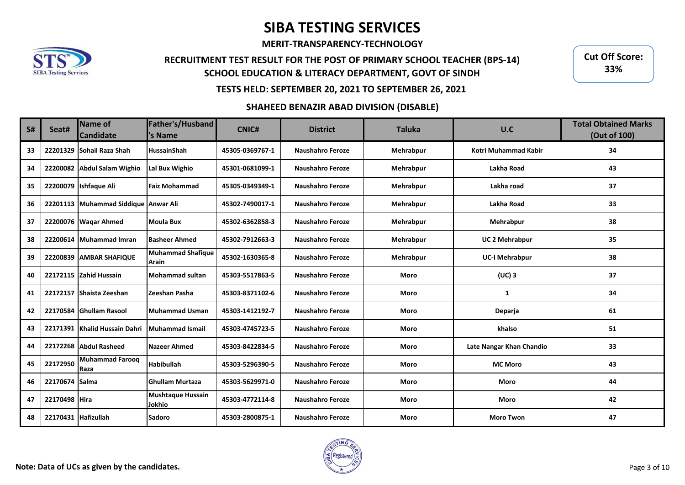**MERIT-TRANSPARENCY-TECHNOLOGY**

# **RECRUITMENT TEST RESULT FOR THE POST OF PRIMARY SCHOOL TEACHER (BPS-14) SCHOOL EDUCATION & LITERACY DEPARTMENT, GOVT OF SINDH**

**Cut Off Score: 33%**

### **TESTS HELD: SEPTEMBER 20, 2021 TO SEPTEMBER 26, 2021**

### **SHAHEED BENAZIR ABAD DIVISION (DISABLE)**

| S# | Seat#               | Name of<br><b>Candidate</b>          | Father's/Husband<br>'s Name        | <b>CNIC#</b>    | <b>District</b>         | <b>Taluka</b> | U.C                      | <b>Total Obtained Marks</b><br>(Out of 100) |
|----|---------------------|--------------------------------------|------------------------------------|-----------------|-------------------------|---------------|--------------------------|---------------------------------------------|
| 33 |                     | 22201329 Sohail Raza Shah            | <b>HussainShah</b>                 | 45305-0369767-1 | <b>Naushahro Feroze</b> | Mehrabpur     | Kotri Muhammad Kabir     | 34                                          |
| 34 |                     | 22200082 Abdul Salam Wighio          | <b>Lal Bux Wighio</b>              | 45301-0681099-1 | <b>Naushahro Feroze</b> | Mehrabpur     | Lakha Road               | 43                                          |
| 35 |                     | 22200079 Ishfaque Ali                | Faiz Mohammad                      | 45305-0349349-1 | <b>Naushahro Feroze</b> | Mehrabpur     | Lakha road               | 37                                          |
| 36 |                     | 22201113 Muhammad Siddique Anwar Ali |                                    | 45302-7490017-1 | <b>Naushahro Feroze</b> | Mehrabpur     | Lakha Road               | 33                                          |
| 37 |                     | 22200076 Waqar Ahmed                 | Moula Bux                          | 45302-6362858-3 | <b>Naushahro Feroze</b> | Mehrabpur     | Mehrabpur                | 38                                          |
| 38 |                     | 22200614 Muhammad Imran              | <b>Basheer Ahmed</b>               | 45302-7912663-3 | <b>Naushahro Feroze</b> | Mehrabpur     | <b>UC 2 Mehrabpur</b>    | 35                                          |
| 39 |                     | 22200839 AMBAR SHAFIQUE              | Muhammad Shafique<br><b>Arain</b>  | 45302-1630365-8 | <b>Naushahro Feroze</b> | Mehrabpur     | <b>UC-I Mehrabpur</b>    | 38                                          |
| 40 |                     | 22172115 Zahid Hussain               | Mohammad sultan                    | 45303-5517863-5 | <b>Naushahro Feroze</b> | Moro          | $(UC)$ 3                 | 37                                          |
| 41 |                     | 22172157 Shaista Zeeshan             | Zeeshan Pasha                      | 45303-8371102-6 | <b>Naushahro Feroze</b> | Moro          | 1                        | 34                                          |
| 42 |                     | 22170584 Ghullam Rasool              | Muhammad Usman                     | 45303-1412192-7 | <b>Naushahro Feroze</b> | Moro          | Deparja                  | 61                                          |
| 43 |                     | 22171391 Khalid Hussain Dahri        | Muhammad Ismail                    | 45303-4745723-5 | <b>Naushahro Feroze</b> | Moro          | khalso                   | 51                                          |
| 44 |                     | 22172268 Abdul Rasheed               | <b>Nazeer Ahmed</b>                | 45303-8422834-5 | <b>Naushahro Feroze</b> | Moro          | Late Nangar Khan Chandio | 33                                          |
| 45 | 22172950            | Muhammad Faroog<br><b>Raza</b>       | <b>Habibullah</b>                  | 45303-5296390-5 | <b>Naushahro Feroze</b> | Moro          | <b>MC Moro</b>           | 43                                          |
| 46 | 22170674 Salma      |                                      | <b>Ghullam Murtaza</b>             | 45303-5629971-0 | <b>Naushahro Feroze</b> | Moro          | Moro                     | 44                                          |
| 47 | 22170498 Hira       |                                      | <b>Mushtaque Hussain</b><br>Jokhio | 45303-4772114-8 | <b>Naushahro Feroze</b> | Moro          | Moro                     | 42                                          |
| 48 | 22170431 Hafizullah |                                      | <b>Sadoro</b>                      | 45303-2800875-1 | <b>Naushahro Feroze</b> | Moro          | <b>Moro Twon</b>         | 47                                          |

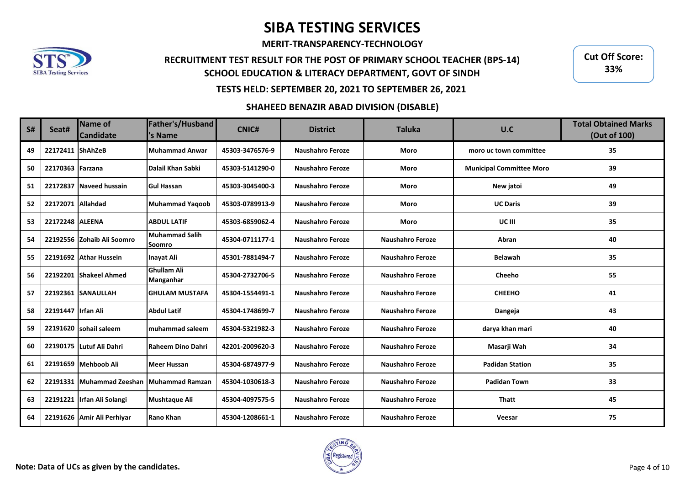**MERIT-TRANSPARENCY-TECHNOLOGY**

# **RECRUITMENT TEST RESULT FOR THE POST OF PRIMARY SCHOOL TEACHER (BPS-14) SCHOOL EDUCATION & LITERACY DEPARTMENT, GOVT OF SINDH**

**Cut Off Score: 33%**

## **TESTS HELD: SEPTEMBER 20, 2021 TO SEPTEMBER 26, 2021**

#### **SHAHEED BENAZIR ABAD DIVISION (DISABLE)**

| <b>S#</b> | Seat#               | Name of<br><b>Candidate</b>               | Father's/Husband<br>'s Name            | CNIC#           | <b>District</b>         | <b>Taluka</b>           | U.C                             | <b>Total Obtained Marks</b><br>(Out of 100) |
|-----------|---------------------|-------------------------------------------|----------------------------------------|-----------------|-------------------------|-------------------------|---------------------------------|---------------------------------------------|
| 49        | 22172411 ShAhZeB    |                                           | <b>Muhammad Anwar</b>                  | 45303-3476576-9 | <b>Naushahro Feroze</b> | Moro                    | moro uc town committee          | 35                                          |
| 50        | 22170363 Farzana    |                                           | Dalail Khan Sabki                      | 45303-5141290-0 | Naushahro Feroze        | Moro                    | <b>Municipal Committee Moro</b> | 39                                          |
| 51        |                     | 22172837 Naveed hussain                   | <b>Gul Hassan</b>                      | 45303-3045400-3 | <b>Naushahro Feroze</b> | Moro                    | New jatoi                       | 49                                          |
| 52        | 22172071 Allahdad   |                                           | <b>Muhammad Yaqoob</b>                 | 45303-0789913-9 | Naushahro Feroze        | Moro                    | <b>UC Daris</b>                 | 39                                          |
| 53        | 22172248 ALEENA     |                                           | <b>ABDUL LATIF</b>                     | 45303-6859062-4 | <b>Naushahro Feroze</b> | Moro                    | UC III                          | 35                                          |
| 54        |                     | 22192556 Zohaib Ali Soomro                | <b>Muhammad Salih</b><br>Soomro        | 45304-0711177-1 | <b>Naushahro Feroze</b> | <b>Naushahro Feroze</b> | Abran                           | 40                                          |
| 55        |                     | 22191692 Athar Hussein                    | Inavat Ali                             | 45301-7881494-7 | <b>Naushahro Feroze</b> | <b>Naushahro Feroze</b> | <b>Belawah</b>                  | 35                                          |
| 56        |                     | 22192201 Shakeel Ahmed                    | <b>Ghullam Ali</b><br><b>Manganhar</b> | 45304-2732706-5 | Naushahro Feroze        | <b>Naushahro Feroze</b> | Cheeho                          | 55                                          |
| 57        |                     | 22192361 SANAULLAH                        | <b>GHULAM MUSTAFA</b>                  | 45304-1554491-1 | <b>Naushahro Feroze</b> | Naushahro Feroze        | <b>CHEEHO</b>                   | 41                                          |
| 58        | 22191447 IIrfan Ali |                                           | <b>Abdul Latif</b>                     | 45304-1748699-7 | <b>Naushahro Feroze</b> | <b>Naushahro Feroze</b> | Dangeja                         | 43                                          |
| 59        |                     | 22191620 sohail saleem                    | muhammad saleem                        | 45304-5321982-3 | <b>Naushahro Feroze</b> | Naushahro Feroze        | darya khan mari                 | 40                                          |
| 60        |                     | 22190175 Lutuf Ali Dahri                  | Raheem Dino Dahri                      | 42201-2009620-3 | Naushahro Feroze        | <b>Naushahro Feroze</b> | Masarji Wah                     | 34                                          |
| 61        |                     | 22191659 Mehboob Ali                      | <b>Meer Hussan</b>                     | 45304-6874977-9 | <b>Naushahro Feroze</b> | <b>Naushahro Feroze</b> | <b>Padidan Station</b>          | 35                                          |
| 62        |                     | 22191331 Muhammad Zeeshan Muhammad Ramzan |                                        | 45304-1030618-3 | <b>Naushahro Feroze</b> | <b>Naushahro Feroze</b> | <b>Padidan Town</b>             | 33                                          |
| 63        |                     | 22191221 Irfan Ali Solangi                | <b>Mushtaque Ali</b>                   | 45304-4097575-5 | Naushahro Feroze        | Naushahro Feroze        | <b>Thatt</b>                    | 45                                          |
| 64        |                     | 22191626 Amir Ali Perhiyar                | Rano Khan                              | 45304-1208661-1 | <b>Naushahro Feroze</b> | <b>Naushahro Feroze</b> | Veesar                          | 75                                          |

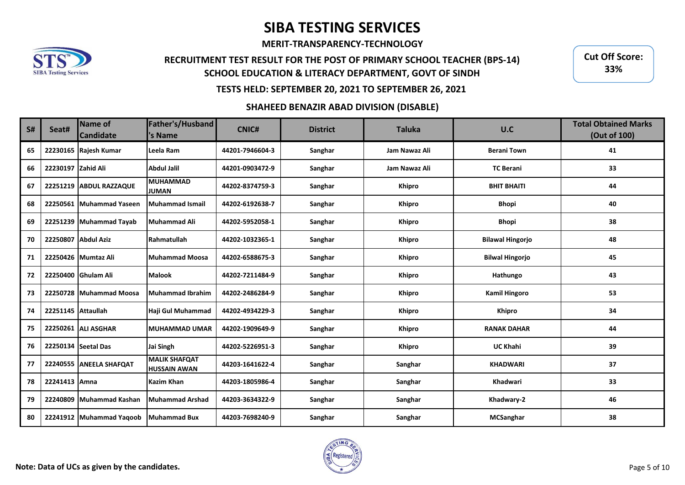**MERIT-TRANSPARENCY-TECHNOLOGY**

## **RECRUITMENT TEST RESULT FOR THE POST OF PRIMARY SCHOOL TEACHER (BPS-14) SCHOOL EDUCATION & LITERACY DEPARTMENT, GOVT OF SINDH**

**Cut Off Score: 33%**

### **TESTS HELD: SEPTEMBER 20, 2021 TO SEPTEMBER 26, 2021**

### **SHAHEED BENAZIR ABAD DIVISION (DISABLE)**

| S# | Seat#               | <b>Name of</b><br><b>Candidate</b> | Father's/Husband<br>'s Name                 | <b>CNIC#</b>    | <b>District</b> | <b>Taluka</b> | U.C                     | <b>Total Obtained Marks</b><br>(Out of 100) |
|----|---------------------|------------------------------------|---------------------------------------------|-----------------|-----------------|---------------|-------------------------|---------------------------------------------|
| 65 |                     | 22230165 Rajesh Kumar              | Leela Ram                                   | 44201-7946604-3 | Sanghar         | Jam Nawaz Ali | <b>Berani Town</b>      | 41                                          |
| 66 | 22230197 Zahid Ali  |                                    | <b>Abdul Jalil</b>                          | 44201-0903472-9 | Sanghar         | Jam Nawaz Ali | <b>TC Berani</b>        | 33                                          |
| 67 |                     | 22251219 ABDUL RAZZAQUE            | <b>MUHAMMAD</b><br><b>JUMAN</b>             | 44202-8374759-3 | Sanghar         | <b>Khipro</b> | <b>BHIT BHAITI</b>      | 44                                          |
| 68 |                     | 22250561 Muhammad Yaseen           | Muhammad Ismail                             | 44202-6192638-7 | Sanghar         | <b>Khipro</b> | <b>Bhopi</b>            | 40                                          |
| 69 |                     | 22251239 Muhammad Tayab            | Muhammad Ali                                | 44202-5952058-1 | Sanghar         | <b>Khipro</b> | <b>Bhopi</b>            | 38                                          |
| 70 |                     | 22250807 Abdul Aziz                | Rahmatullah                                 | 44202-1032365-1 | Sanghar         | Khipro        | <b>Bilawal Hingorjo</b> | 48                                          |
| 71 |                     | 22250426 Mumtaz Ali                | Muhammad Moosa                              | 44202-6588675-3 | Sanghar         | <b>Khipro</b> | <b>Bilwal Hingorjo</b>  | 45                                          |
| 72 |                     | 22250400 Ghulam Ali                | <b>Malook</b>                               | 44202-7211484-9 | Sanghar         | <b>Khipro</b> | Hathungo                | 43                                          |
| 73 |                     | 22250728 Muhammad Moosa            | Muhammad Ibrahim                            | 44202-2486284-9 | Sanghar         | <b>Khipro</b> | <b>Kamil Hingoro</b>    | 53                                          |
| 74 | 22251145 Attaullah  |                                    | Haji Gul Muhammad                           | 44202-4934229-3 | Sanghar         | <b>Khipro</b> | <b>Khipro</b>           | 34                                          |
| 75 |                     | 22250261 ALI ASGHAR                | MUHAMMAD UMAR                               | 44202-1909649-9 | Sanghar         | Khipro        | <b>RANAK DAHAR</b>      | 44                                          |
| 76 | 22250134 Seetal Das |                                    | Jai Singh                                   | 44202-5226951-3 | Sanghar         | <b>Khipro</b> | <b>UC Khahi</b>         | 39                                          |
| 77 |                     | 22240555 ANEELA SHAFQAT            | <b>MALIK SHAFQAT</b><br><b>HUSSAIN AWAN</b> | 44203-1641622-4 | Sanghar         | Sanghar       | <b>KHADWARI</b>         | 37                                          |
| 78 | 22241413 Amna       |                                    | Kazim Khan                                  | 44203-1805986-4 | Sanghar         | Sanghar       | Khadwari                | 33                                          |
| 79 |                     | 22240809 Muhammad Kashan           | Muhammad Arshad                             | 44203-3634322-9 | Sanghar         | Sanghar       | Khadwary-2              | 46                                          |
| 80 |                     | 22241912 Muhammad Yaqoob           | <b>Muhammad Bux</b>                         | 44203-7698240-9 | Sanghar         | Sanghar       | <b>MCSanghar</b>        | 38                                          |

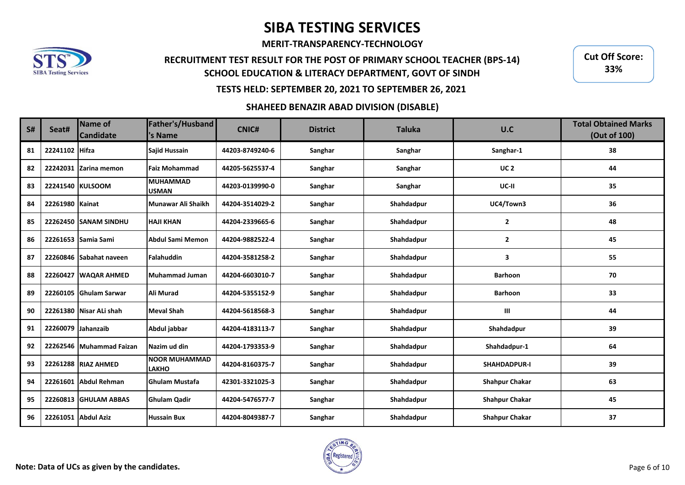**MERIT-TRANSPARENCY-TECHNOLOGY**

## **RECRUITMENT TEST RESULT FOR THE POST OF PRIMARY SCHOOL TEACHER (BPS-14) SCHOOL EDUCATION & LITERACY DEPARTMENT, GOVT OF SINDH**

**Cut Off Score: 33%**

### **TESTS HELD: SEPTEMBER 20, 2021 TO SEPTEMBER 26, 2021**

### **SHAHEED BENAZIR ABAD DIVISION (DISABLE)**

| S# | Seat#              | Name of<br><b>Candidate</b> | Father's/Husband<br>'s Name          | <b>CNIC#</b>    | <b>District</b> | <b>Taluka</b> | U.C                   | <b>Total Obtained Marks</b><br>(Out of 100) |
|----|--------------------|-----------------------------|--------------------------------------|-----------------|-----------------|---------------|-----------------------|---------------------------------------------|
| 81 | 22241102 Hifza     |                             | <b>Sajid Hussain</b>                 | 44203-8749240-6 | Sanghar         | Sanghar       | Sanghar-1             | 38                                          |
| 82 |                    | 22242031 Zarina memon       | <b>Faiz Mohammad</b>                 | 44205-5625537-4 | Sanghar         | Sanghar       | UC <sub>2</sub>       | 44                                          |
| 83 |                    | 22241540 KULSOOM            | <b>MUHAMMAD</b><br><b>USMAN</b>      | 44203-0139990-0 | Sanghar         | Sanghar       | UC-II                 | 35                                          |
| 84 | 22261980 Kainat    |                             | Munawar Ali Shaikh                   | 44204-3514029-2 | Sanghar         | Shahdadpur    | UC4/Town3             | 36                                          |
| 85 |                    | 22262450 SANAM SINDHU       | <b>HAJI KHAN</b>                     | 44204-2339665-6 | Sanghar         | Shahdadpur    | $\mathbf{2}$          | 48                                          |
| 86 |                    | 22261653 Samia Sami         | Abdul Sami Memon                     | 44204-9882522-4 | Sanghar         | Shahdadpur    | 2                     | 45                                          |
| 87 |                    | 22260846 Sabahat naveen     | Falahuddin                           | 44204-3581258-2 | Sanghar         | Shahdadpur    | 3                     | 55                                          |
| 88 |                    | 22260427 WAQAR AHMED        | Muhammad Juman                       | 44204-6603010-7 | Sanghar         | Shahdadpur    | <b>Barhoon</b>        | 70                                          |
| 89 |                    | 22260105 Ghulam Sarwar      | <b>Ali Murad</b>                     | 44204-5355152-9 | Sanghar         | Shahdadpur    | <b>Barhoon</b>        | 33                                          |
| 90 |                    | 22261380 Nisar ALi shah     | <b>Meval Shah</b>                    | 44204-5618568-3 | Sanghar         | Shahdadpur    | Ш                     | 44                                          |
| 91 | 22260079 Jahanzaib |                             | Abdul jabbar                         | 44204-4183113-7 | Sanghar         | Shahdadpur    | Shahdadpur            | 39                                          |
| 92 |                    | 22262546 Muhammad Faizan    | Nazim ud din                         | 44204-1793353-9 | Sanghar         | Shahdadpur    | Shahdadpur-1          | 64                                          |
| 93 |                    | 22261288 RIAZ AHMED         | <b>NOOR MUHAMMAD</b><br><b>LAKHO</b> | 44204-8160375-7 | Sanghar         | Shahdadpur    | SHAHDADPUR-I          | 39                                          |
| 94 |                    | 22261601 Abdul Rehman       | <b>Ghulam Mustafa</b>                | 42301-3321025-3 | Sanghar         | Shahdadpur    | <b>Shahpur Chakar</b> | 63                                          |
| 95 |                    | 22260813 GHULAM ABBAS       | <b>Ghulam Qadir</b>                  | 44204-5476577-7 | Sanghar         | Shahdadpur    | <b>Shahpur Chakar</b> | 45                                          |
| 96 |                    | 22261051 Abdul Aziz         | <b>Hussain Bux</b>                   | 44204-8049387-7 | Sanghar         | Shahdadpur    | <b>Shahpur Chakar</b> | 37                                          |

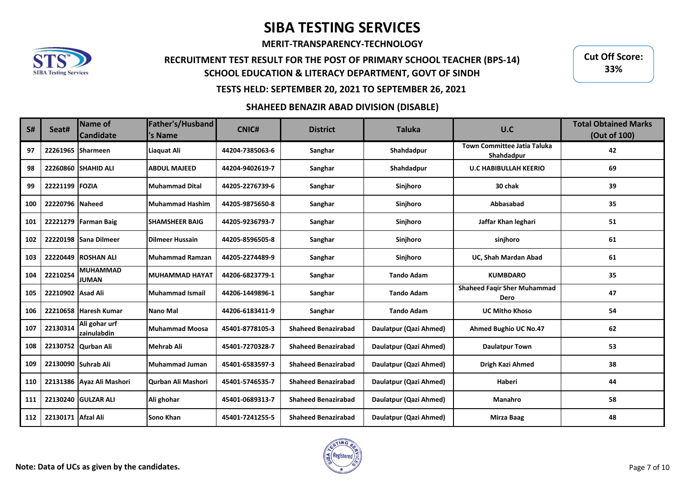**MERIT-TRANSPARENCY-TECHNOLOGY**

## **RECRUITMENT TEST RESULT FOR THE POST OF PRIMARY SCHOOL TEACHER (BPS-14) SCHOOL EDUCATION & LITERACY DEPARTMENT, GOVT OF SINDH**

**Cut Off Score: 33%**

### **TESTS HELD: SEPTEMBER 20, 2021 TO SEPTEMBER 26, 2021**

### **SHAHEED BENAZIR ABAD DIVISION (DISABLE)**

| S#  | Seat#               | Name of<br><b>Candidate</b>     | Father's/Husband<br>'s Name | <b>CNIC#</b>    | <b>District</b>            | <b>Taluka</b>          | U.C                                        | <b>Total Obtained Marks</b><br>(Out of 100) |
|-----|---------------------|---------------------------------|-----------------------------|-----------------|----------------------------|------------------------|--------------------------------------------|---------------------------------------------|
| 97  | 22261965 Sharmeen   |                                 | Liaquat Ali                 | 44204-7385063-6 | Sanghar                    | Shahdadpur             | Town Committee Jatia Taluka<br>Shahdadpur  | 42                                          |
| 98  | 22260860            | <b>SHAHID ALI</b>               | <b>ABDUL MAJEED</b>         | 44204-9402619-7 | Sanghar                    | Shahdadpur             | <b>U.C HABIBULLAH KEERIO</b>               | 69                                          |
| 99  | 22221199 FOZIA      |                                 | <b>Muhammad Dital</b>       | 44205-2276739-6 | Sanghar                    | Sinjhoro               | 30 chak                                    | 39                                          |
| 100 | 22220796 Naheed     |                                 | Muhammad Hashim             | 44205-9875650-8 | Sanghar                    | Sinjhoro               | Abbasabad                                  | 35                                          |
| 101 |                     | 22221279 Farman Baig            | <b>SHAMSHEER BAIG</b>       | 44205-9236793-7 | Sanghar                    | Sinjhoro               | Jaffar Khan leghari                        | 51                                          |
| 102 |                     | 22220198 Sana Dilmeer           | <b>Dilmeer Hussain</b>      | 44205-8596505-8 | Sanghar                    | Sinjhoro               | sinjhoro                                   | 61                                          |
| 103 |                     | <b>22220449 ROSHAN ALI</b>      | <b>Muhammad Ramzan</b>      | 44205-2274489-9 | Sanghar                    | Sinjhoro               | UC, Shah Mardan Abad                       | 61                                          |
| 104 | 22210254            | <b>MUHAMMAD</b><br><b>JUMAN</b> | MUHAMMAD HAYAT              | 44206-6823779-1 | Sanghar                    | <b>Tando Adam</b>      | <b>KUMBDARO</b>                            | 35                                          |
| 105 | 22210902 Asad Ali   |                                 | Muhammad Ismail             | 44206-1449896-1 | Sanghar                    | <b>Tando Adam</b>      | <b>Shaheed Fagir Sher Muhammad</b><br>Dero | 47                                          |
| 106 |                     | 22210658 Haresh Kumar           | Nano Mal                    | 44206-6183411-9 | Sanghar                    | <b>Tando Adam</b>      | <b>UC Mitho Khoso</b>                      | 54                                          |
| 107 | 22130314            | Ali gohar urf<br>zainulabdin    | <b>Muhammad Moosa</b>       | 45401-8778105-3 | <b>Shaheed Benazirabad</b> | Daulatpur (Qazi Ahmed) | <b>Ahmed Bughio UC No.47</b>               | 62                                          |
| 108 | 22130752            | Qurban Ali                      | Mehrab Ali                  | 45401-7270328-7 | <b>Shaheed Benazirabad</b> | Daulatpur (Qazi Ahmed) | <b>Daulatpur Town</b>                      | 53                                          |
| 109 | 22130090 Suhrab Ali |                                 | Muhammad Juman              | 45401-6583597-3 | <b>Shaheed Benazirabad</b> | Daulatpur (Qazi Ahmed) | Drigh Kazi Ahmed                           | 38                                          |
| 110 |                     | 22131386 Ayaz Ali Mashori       | Qurban Ali Mashori          | 45401-5746535-7 | <b>Shaheed Benazirabad</b> | Daulatpur (Qazi Ahmed) | Haberi                                     | 44                                          |
| 111 |                     | 22130240 GULZAR ALI             | Ali ghohar                  | 45401-0689313-7 | <b>Shaheed Benazirabad</b> | Daulatpur (Qazi Ahmed) | Manahro                                    | 58                                          |
| 112 | 22130171            | <b>Afzal Ali</b>                | Sono Khan                   | 45401-7241255-5 | <b>Shaheed Benazirabad</b> | Daulatpur (Qazi Ahmed) | <b>Mirza Baag</b>                          | 48                                          |

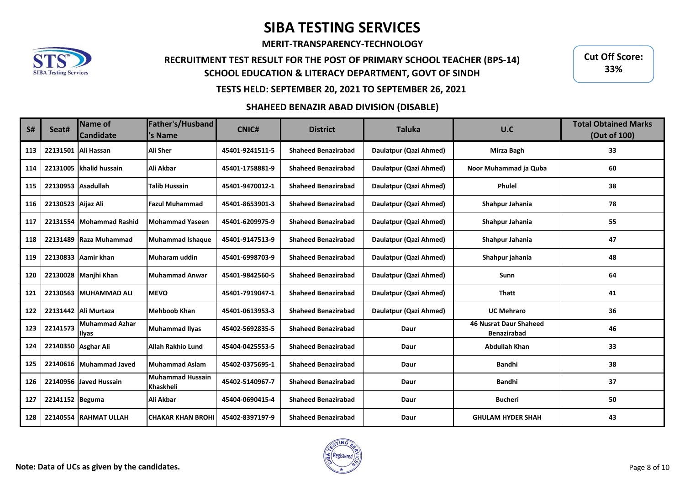**MERIT-TRANSPARENCY-TECHNOLOGY**

## **RECRUITMENT TEST RESULT FOR THE POST OF PRIMARY SCHOOL TEACHER (BPS-14) SCHOOL EDUCATION & LITERACY DEPARTMENT, GOVT OF SINDH**

**Cut Off Score: 33%**

### **TESTS HELD: SEPTEMBER 20, 2021 TO SEPTEMBER 26, 2021**

#### **SHAHEED BENAZIR ABAD DIVISION (DISABLE)**

| S#  | Seat#               | <b>Name of</b><br><b>Candidate</b> | Father's/Husband<br>'s Name   | <b>CNIC#</b>    | <b>District</b>            | <b>Taluka</b>          | U.C                                                 | <b>Total Obtained Marks</b><br>(Out of 100) |
|-----|---------------------|------------------------------------|-------------------------------|-----------------|----------------------------|------------------------|-----------------------------------------------------|---------------------------------------------|
| 113 |                     | 22131501 Ali Hassan                | <b>Ali Sher</b>               | 45401-9241511-5 | <b>Shaheed Benazirabad</b> | Daulatpur (Qazi Ahmed) | Mirza Bagh                                          | 33                                          |
| 114 |                     | 22131005 khalid hussain            | Ali Akbar                     | 45401-1758881-9 | <b>Shaheed Benazirabad</b> | Daulatpur (Qazi Ahmed) | Noor Muhammad ja Quba                               | 60                                          |
| 115 | 22130953 Asadullah  |                                    | <b>Talib Hussain</b>          | 45401-9470012-1 | <b>Shaheed Benazirabad</b> | Daulatpur (Qazi Ahmed) | <b>Phulel</b>                                       | 38                                          |
| 116 | 22130523 Aijaz Ali  |                                    | <b>Fazul Muhammad</b>         | 45401-8653901-3 | <b>Shaheed Benazirabad</b> | Daulatpur (Qazi Ahmed) | Shahpur Jahania                                     | 78                                          |
| 117 |                     | 22131554 Mohammad Rashid           | Mohammad Yaseen               | 45401-6209975-9 | <b>Shaheed Benazirabad</b> | Daulatpur (Qazi Ahmed) | Shahpur Jahania                                     | 55                                          |
| 118 |                     | 22131489 Raza Muhammad             | Muhammad Ishaque              | 45401-9147513-9 | <b>Shaheed Benazirabad</b> | Daulatpur (Qazi Ahmed) | Shahpur Jahania                                     | 47                                          |
| 119 |                     | 22130833 Aamir khan                | Muharam uddin                 | 45401-6998703-9 | <b>Shaheed Benazirabad</b> | Daulatpur (Qazi Ahmed) | Shahpur jahania                                     | 48                                          |
| 120 |                     | 22130028 Manjhi Khan               | Muhammad Anwar                | 45401-9842560-5 | <b>Shaheed Benazirabad</b> | Daulatpur (Qazi Ahmed) | Sunn                                                | 64                                          |
| 121 |                     | 22130563 MUHAMMAD ALI              | <b>MEVO</b>                   | 45401-7919047-1 | <b>Shaheed Benazirabad</b> | Daulatpur (Qazi Ahmed) | <b>Thatt</b>                                        | 41                                          |
| 122 |                     | 22131442 Ali Murtaza               | Mehboob Khan                  | 45401-0613953-3 | <b>Shaheed Benazirabad</b> | Daulatpur (Qazi Ahmed) | <b>UC Mehraro</b>                                   | 36                                          |
| 123 | 22141573            | Muhammad Azhar<br><b>Illyas</b>    | <b>Muhammad Ilyas</b>         | 45402-5692835-5 | <b>Shaheed Benazirabad</b> | Daur                   | <b>46 Nusrat Daur Shaheed</b><br><b>Benazirabad</b> | 46                                          |
| 124 | 22140350 Asghar Ali |                                    | Allah Rakhio Lund             | 45404-0425553-5 | <b>Shaheed Benazirabad</b> | Daur                   | <b>Abdullah Khan</b>                                | 33                                          |
| 125 |                     | 22140616 Muhammad Javed            | Muhammad Aslam                | 45402-0375695-1 | <b>Shaheed Benazirabad</b> | Daur                   | <b>Bandhi</b>                                       | 38                                          |
| 126 |                     | 22140956 Javed Hussain             | Muhammad Hussain<br>Khaskheli | 45402-5140967-7 | <b>Shaheed Benazirabad</b> | Daur                   | <b>Bandhi</b>                                       | 37                                          |
| 127 | 22141152 Beguma     |                                    | Ali Akbar                     | 45404-0690415-4 | <b>Shaheed Benazirabad</b> | Daur                   | <b>Bucheri</b>                                      | 50                                          |
| 128 |                     | 22140554 RAHMAT ULLAH              | İCHAKAR KHAN BROHI            | 45402-8397197-9 | <b>Shaheed Benazirabad</b> | Daur                   | <b>GHULAM HYDER SHAH</b>                            | 43                                          |

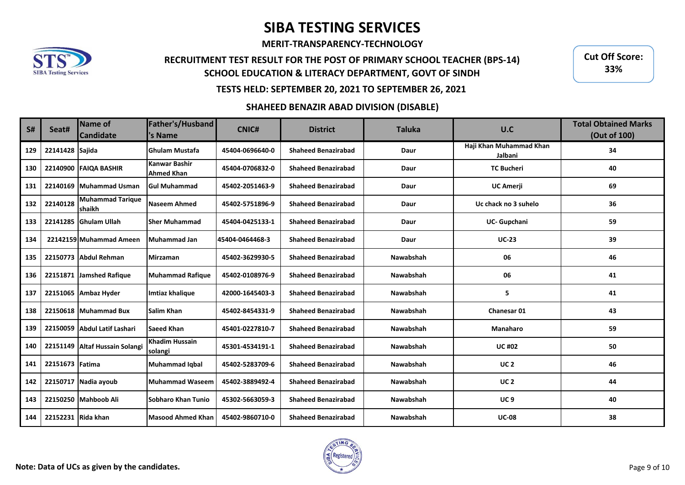**MERIT-TRANSPARENCY-TECHNOLOGY**

## **RECRUITMENT TEST RESULT FOR THE POST OF PRIMARY SCHOOL TEACHER (BPS-14) SCHOOL EDUCATION & LITERACY DEPARTMENT, GOVT OF SINDH**

**Cut Off Score: 33%**

### **TESTS HELD: SEPTEMBER 20, 2021 TO SEPTEMBER 26, 2021**

### **SHAHEED BENAZIR ABAD DIVISION (DISABLE)**

| <b>S#</b> | Seat#              | Name of<br><b>Candidate</b>       | Father's/Husband<br>'s Name        | CNIC#           | <b>District</b>            | <b>Taluka</b> | U.C                                | <b>Total Obtained Marks</b><br>(Out of 100) |
|-----------|--------------------|-----------------------------------|------------------------------------|-----------------|----------------------------|---------------|------------------------------------|---------------------------------------------|
| 129       | 22141428 Sajida    |                                   | <b>Ghulam Mustafa</b>              | 45404-0696640-0 | <b>Shaheed Benazirabad</b> | Daur          | Haji Khan Muhammad Khan<br>Jalbani | 34                                          |
| 130       |                    | 22140900 FAIOA BASHIR             | Kanwar Bashir<br><b>Ahmed Khan</b> | 45404-0706832-0 | <b>Shaheed Benazirabad</b> | Daur          | <b>TC Bucheri</b>                  | 40                                          |
| 131       | 22140169           | Muhammad Usman                    | <b>Gul Muhammad</b>                | 45402-2051463-9 | <b>Shaheed Benazirabad</b> | Daur          | <b>UC Amerji</b>                   | 69                                          |
| 132       | 22140128           | <b>Muhammad Tarique</b><br>shaikh | <b>Naseem Ahmed</b>                | 45402-5751896-9 | <b>Shaheed Benazirabad</b> | Daur          | Uc chack no 3 suhelo               | 36                                          |
| 133       |                    | 22141285 Ghulam Ullah             | <b>Sher Muhammad</b>               | 45404-0425133-1 | <b>Shaheed Benazirabad</b> | Daur          | UC- Gupchani                       | 59                                          |
| 134       |                    | 22142159 Muhammad Ameen           | Muhammad Jan                       | 45404-0464468-3 | <b>Shaheed Benazirabad</b> | Daur          | <b>UC-23</b>                       | 39                                          |
| 135       |                    | 22150773 Abdul Rehman             | <b>Mirzaman</b>                    | 45402-3629930-5 | <b>Shaheed Benazirabad</b> | Nawabshah     | 06                                 | 46                                          |
| 136       | 22151871           | Jamshed Rafique                   | <b>Muhammad Rafique</b>            | 45402-0108976-9 | <b>Shaheed Benazirabad</b> | Nawabshah     | 06                                 | 41                                          |
| 137       |                    | 22151065 Ambaz Hyder              | Imtiaz khalique                    | 42000-1645403-3 | <b>Shaheed Benazirabad</b> | Nawabshah     | 5                                  | 41                                          |
| 138       |                    | 22150618 Muhammad Bux             | <b>Salim Khan</b>                  | 45402-8454331-9 | <b>Shaheed Benazirabad</b> | Nawabshah     | <b>Chanesar 01</b>                 | 43                                          |
| 139       |                    | 22150059 Abdul Latif Lashari      | Saeed Khan                         | 45401-0227810-7 | <b>Shaheed Benazirabad</b> | Nawabshah     | Manaharo                           | 59                                          |
| 140       | 22151149           | <b>Altaf Hussain Solangi</b>      | Khadim Hussain<br>solangi          | 45301-4534191-1 | <b>Shaheed Benazirabad</b> | Nawabshah     | <b>UC #02</b>                      | 50                                          |
| 141       | 22151673 Fatima    |                                   | <b>Muhammad Iqbal</b>              | 45402-5283709-6 | <b>Shaheed Benazirabad</b> | Nawabshah     | <b>UC 2</b>                        | 46                                          |
| 142       |                    | 22150717 Nadia ayoub              | <b>Muhammad Waseem</b>             | 45402-3889492-4 | <b>Shaheed Benazirabad</b> | Nawabshah     | <b>UC 2</b>                        | 44                                          |
| 143       |                    | 22150250 Mahboob Ali              | Sobharo Khan Tunio                 | 45302-5663059-3 | <b>Shaheed Benazirabad</b> | Nawabshah     | UC <sub>9</sub>                    | 40                                          |
| 144       | 22152231 Rida khan |                                   | <b>Masood Ahmed Khan</b>           | 45402-9860710-0 | <b>Shaheed Benazirabad</b> | Nawabshah     | <b>UC-08</b>                       | 38                                          |